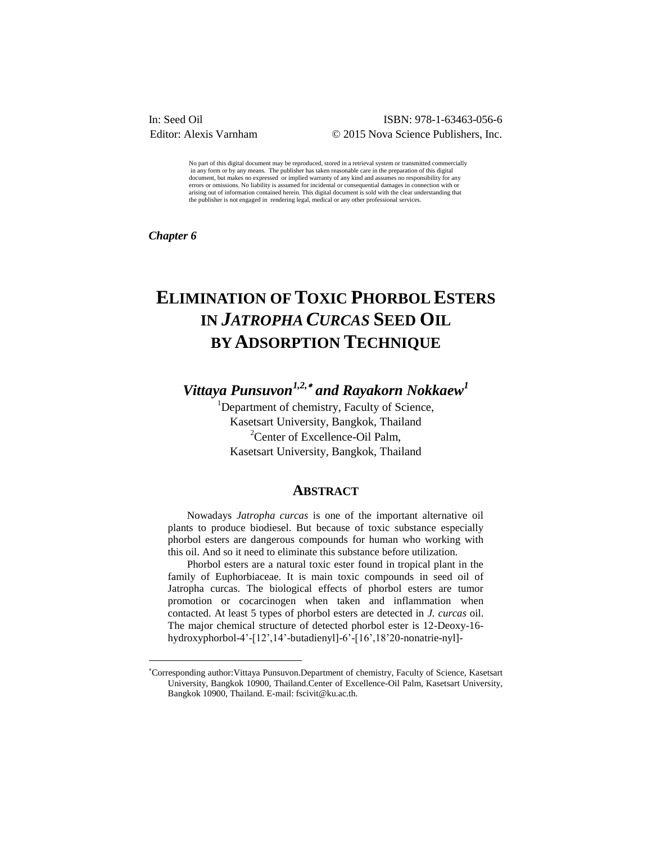# ISBN: 978-1-63463-056-6 Editor: Alexis Varnham © 2015 Nova Science Publishers, Inc.

No part of this digital document may be reproduced, stored in a retrieval system or transmitted commercially in any form or by any means. The publisher has taken reasonable care in the preparation of this digital document, but makes no expressed or implied warranty of any kind and assumes no responsibility for any errors or omissions. No liability is assumed for incidental or consequential damages in connection with or arising out of information contained herein. This digital document is sold with the clear understanding that the publisher is not engaged in rendering legal, medical or any other professional services.

*Chapter 6* 

 $\overline{a}$ 

# **ELIMINATION OF TOXIC PHORBOL ESTERS IN** *JATROPHA CURCAS* **SEED OIL BY ADSORPTION TECHNIQUE**

*Vittaya Punsuvon1,2, and Rayakorn Nokkaew<sup>1</sup>*

<sup>1</sup>Department of chemistry, Faculty of Science, Kasetsart University, Bangkok, Thailand <sup>2</sup>Center of Excellence-Oil Palm, Kasetsart University, Bangkok, Thailand

### **ABSTRACT**

Nowadays *Jatropha curcas* is one of the important alternative oil plants to produce biodiesel. But because of toxic substance especially phorbol esters are dangerous compounds for human who working with this oil. And so it need to eliminate this substance before utilization.

Phorbol esters are a natural toxic ester found in tropical plant in the family of Euphorbiaceae. It is main toxic compounds in seed oil of Jatropha curcas. The biological effects of phorbol esters are tumor promotion or cocarcinogen when taken and inflammation when contacted. At least 5 types of phorbol esters are detected in *J. curcas* oil. The major chemical structure of detected phorbol ester is 12-Deoxy-16 hydroxyphorbol-4'-[12',14'-butadienyl]-6'-[16',18'20-nonatrie-nyl]-

Corresponding author:Vittaya Punsuvon.Department of chemistry, Faculty of Science, Kasetsart University, Bangkok 10900, Thailand.Center of Excellence-Oil Palm, Kasetsart University, Bangkok 10900, Thailand. E-mail: fscivit@ku.ac.th.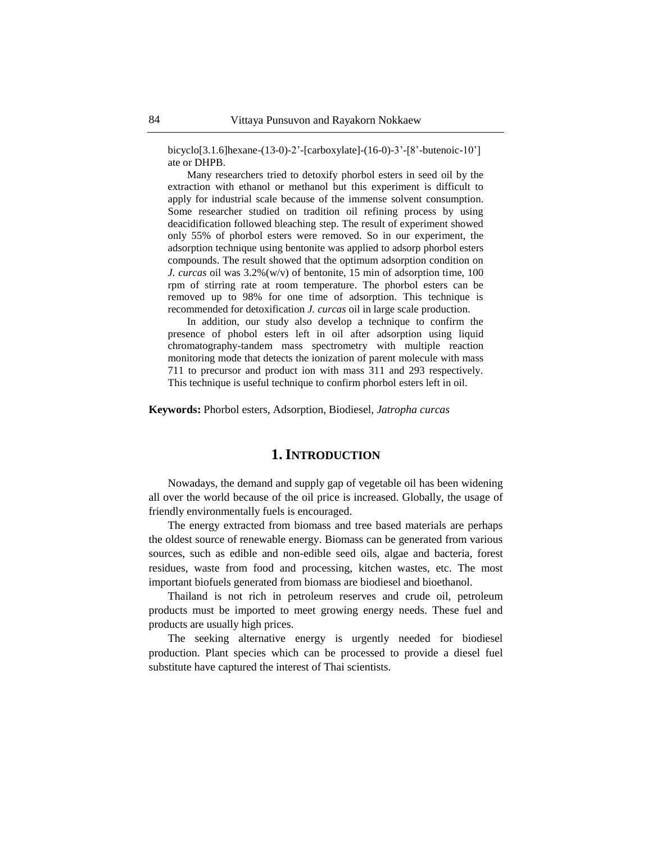bicyclo[3.1.6]hexane-(13-0)-2'-[carboxylate]-(16-0)-3'-[8'-butenoic-10'] ate or DHPB.

Many researchers tried to detoxify phorbol esters in seed oil by the extraction with ethanol or methanol but this experiment is difficult to apply for industrial scale because of the immense solvent consumption. Some researcher studied on tradition oil refining process by using deacidification followed bleaching step. The result of experiment showed only 55% of phorbol esters were removed. So in our experiment, the adsorption technique using bentonite was applied to adsorp phorbol esters compounds. The result showed that the optimum adsorption condition on *J. curcas* oil was 3.2%(w/v) of bentonite, 15 min of adsorption time, 100 rpm of stirring rate at room temperature. The phorbol esters can be removed up to 98% for one time of adsorption. This technique is recommended for detoxification *J. curcas* oil in large scale production.

In addition, our study also develop a technique to confirm the presence of phobol esters left in oil after adsorption using liquid chromatography-tandem mass spectrometry with multiple reaction monitoring mode that detects the ionization of parent molecule with mass 711 to precursor and product ion with mass 311 and 293 respectively. This technique is useful technique to confirm phorbol esters left in oil.

**Keywords:** Phorbol esters, Adsorption, Biodiesel, *Jatropha curcas*

## **1.INTRODUCTION**

Nowadays, the demand and supply gap of vegetable oil has been widening all over the world because of the oil price is increased. Globally, the usage of friendly environmentally fuels is encouraged.

The energy extracted from biomass and tree based materials are perhaps the oldest source of renewable energy. Biomass can be generated from various sources, such as edible and non-edible seed oils, algae and bacteria, forest residues, waste from food and processing, kitchen wastes, etc. The most important biofuels generated from biomass are biodiesel and bioethanol.

Thailand is not rich in petroleum reserves and crude oil, petroleum products must be imported to meet growing energy needs. These fuel and products are usually high prices.

The seeking alternative energy is urgently needed for biodiesel production. Plant species which can be processed to provide a diesel fuel substitute have captured the interest of Thai scientists.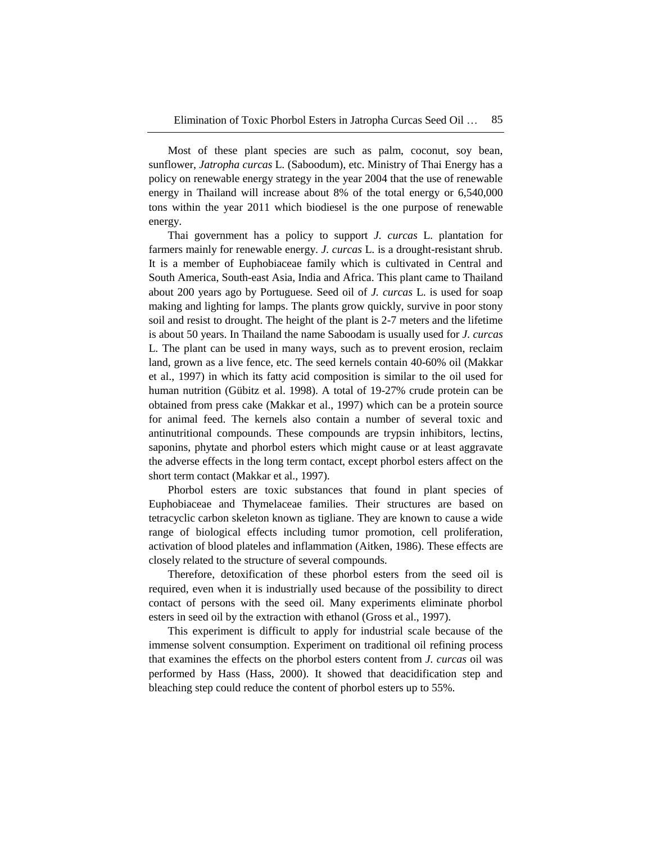Most of these plant species are such as palm, coconut, soy bean, sunflower, *Jatropha curcas* L. (Saboodum), etc. Ministry of Thai Energy has a policy on renewable energy strategy in the year 2004 that the use of renewable energy in Thailand will increase about 8% of the total energy or 6,540,000 tons within the year 2011 which biodiesel is the one purpose of renewable energy.

Thai government has a policy to support *J. curcas* L. plantation for farmers mainly for renewable energy. *J. curcas* L. is a drought-resistant shrub. It is a member of Euphobiaceae family which is cultivated in Central and South America, South-east Asia, India and Africa. This plant came to Thailand about 200 years ago by Portuguese*.* Seed oil of *J. curcas* L. is used for soap making and lighting for lamps. The plants grow quickly, survive in poor stony soil and resist to drought. The height of the plant is 2-7 meters and the lifetime is about 50 years. In Thailand the name Saboodam is usually used for *J. curcas* L. The plant can be used in many ways, such as to prevent erosion, reclaim land, grown as a live fence, etc. The seed kernels contain 40-60% oil (Makkar et al., 1997) in which its fatty acid composition is similar to the oil used for human nutrition (Gübitz et al. 1998). A total of 19-27% crude protein can be obtained from press cake (Makkar et al., 1997) which can be a protein source for animal feed. The kernels also contain a number of several toxic and antinutritional compounds. These compounds are trypsin inhibitors, lectins, saponins, phytate and phorbol esters which might cause or at least aggravate the adverse effects in the long term contact, except phorbol esters affect on the short term contact (Makkar et al., 1997).

Phorbol esters are toxic substances that found in plant species of Euphobiaceae and Thymelaceae families. Their structures are based on tetracyclic carbon skeleton known as tigliane. They are known to cause a wide range of biological effects including tumor promotion, cell proliferation, activation of blood plateles and inflammation (Aitken, 1986). These effects are closely related to the structure of several compounds.

Therefore, detoxification of these phorbol esters from the seed oil is required, even when it is industrially used because of the possibility to direct contact of persons with the seed oil. Many experiments eliminate phorbol esters in seed oil by the extraction with ethanol (Gross et al., 1997).

This experiment is difficult to apply for industrial scale because of the immense solvent consumption. Experiment on traditional oil refining process that examines the effects on the phorbol esters content from *J. curcas* oil was performed by Hass (Hass, 2000). It showed that deacidification step and bleaching step could reduce the content of phorbol esters up to 55%.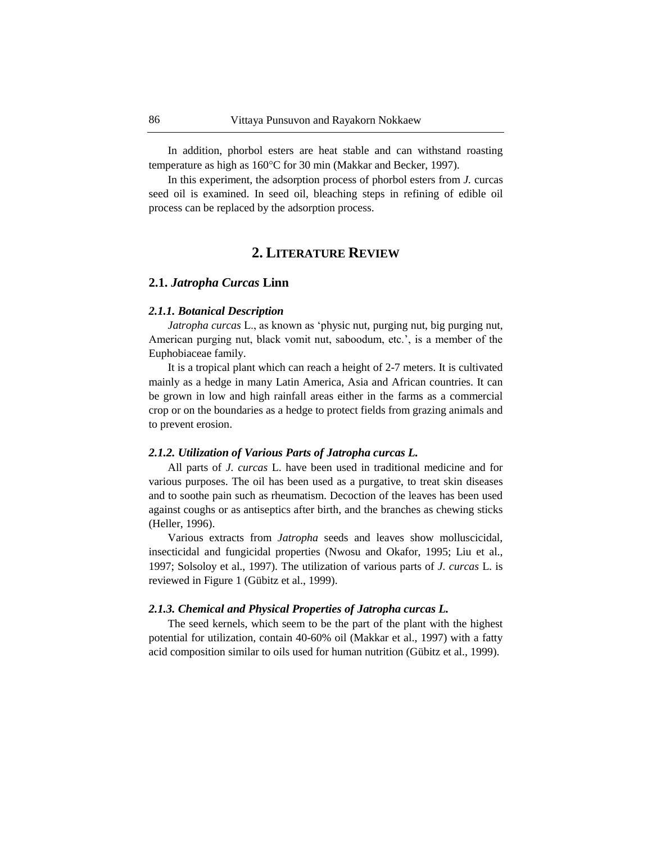In addition, phorbol esters are heat stable and can withstand roasting temperature as high as 160°C for 30 min (Makkar and Becker, 1997).

In this experiment, the adsorption process of phorbol esters from *J.* curcas seed oil is examined. In seed oil, bleaching steps in refining of edible oil process can be replaced by the adsorption process.

# **2. LITERATURE REVIEW**

### **2.1.** *Jatropha Curcas* **Linn**

#### *2.1.1. Botanical Description*

*Jatropha curcas* L., as known as "physic nut, purging nut, big purging nut, American purging nut, black vomit nut, saboodum, etc.', is a member of the Euphobiaceae family.

It is a tropical plant which can reach a height of 2-7 meters. It is cultivated mainly as a hedge in many Latin America, Asia and African countries. It can be grown in low and high rainfall areas either in the farms as a commercial crop or on the boundaries as a hedge to protect fields from grazing animals and to prevent erosion.

#### *2.1.2. Utilization of Various Parts of Jatropha curcas L.*

All parts of *J. curcas* L. have been used in traditional medicine and for various purposes. The oil has been used as a purgative, to treat skin diseases and to soothe pain such as rheumatism. Decoction of the leaves has been used against coughs or as antiseptics after birth, and the branches as chewing sticks (Heller, 1996).

Various extracts from *Jatropha* seeds and leaves show molluscicidal, insecticidal and fungicidal properties (Nwosu and Okafor, 1995; Liu et al., 1997; Solsoloy et al., 1997). The utilization of various parts of *J. curcas* L. is reviewed in Figure 1 (Gübitz et al., 1999).

### *2.1.3. Chemical and Physical Properties of Jatropha curcas L.*

The seed kernels, which seem to be the part of the plant with the highest potential for utilization, contain 40-60% oil (Makkar et al., 1997) with a fatty acid composition similar to oils used for human nutrition (Gübitz et al., 1999).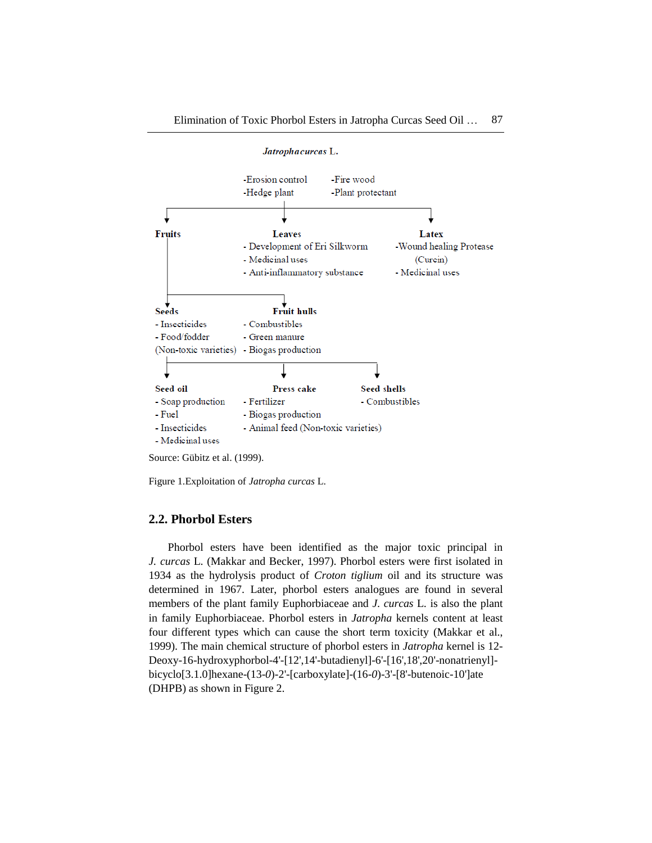

Figure 1.Exploitation of *Jatropha curcas* L.

#### **2.2. Phorbol Esters**

Phorbol esters have been identified as the major toxic principal in *J. curcas* L. (Makkar and Becker, 1997). Phorbol esters were first isolated in 1934 as the hydrolysis product of *Croton tiglium* oil and its structure was determined in 1967. Later, phorbol esters analogues are found in several members of the plant family Euphorbiaceae and *J. curcas* L. is also the plant in family Euphorbiaceae. Phorbol esters in *Jatropha* kernels content at least four different types which can cause the short term toxicity (Makkar et al., 1999). The main chemical structure of phorbol esters in *Jatropha* kernel is 12- Deoxy-16-hydroxyphorbol-4'-[12',14'-butadienyl]-6'-[16',18',20'-nonatrienyl] bicyclo[3.1.0]hexane-(13-*0*)-2'-[carboxylate]-(16-*0*)-3'-[8'-butenoic-10']ate (DHPB) as shown in Figure 2.

Source: Gübitz et al. (1999).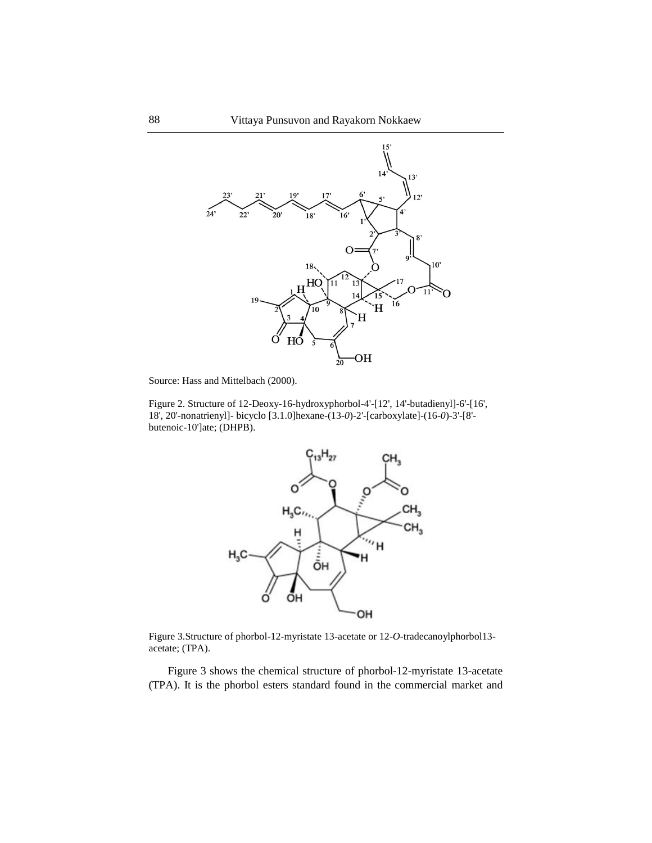

Source: Hass and Mittelbach (2000).

Figure 2. Structure of 12-Deoxy-16-hydroxyphorbol-4'-[12', 14'-butadienyl]-6'-[16', 18', 20'-nonatrienyl]- bicyclo [3.1.0]hexane-(13-*0*)-2'-[carboxylate]-(16-*0*)-3'-[8' butenoic-10']ate; (DHPB).



Figure 3.Structure of phorbol-12-myristate 13-acetate or 12-*O*-tradecanoylphorbol13 acetate; (TPA).

Figure 3 shows the chemical structure of phorbol-12-myristate 13-acetate (TPA). It is the phorbol esters standard found in the commercial market and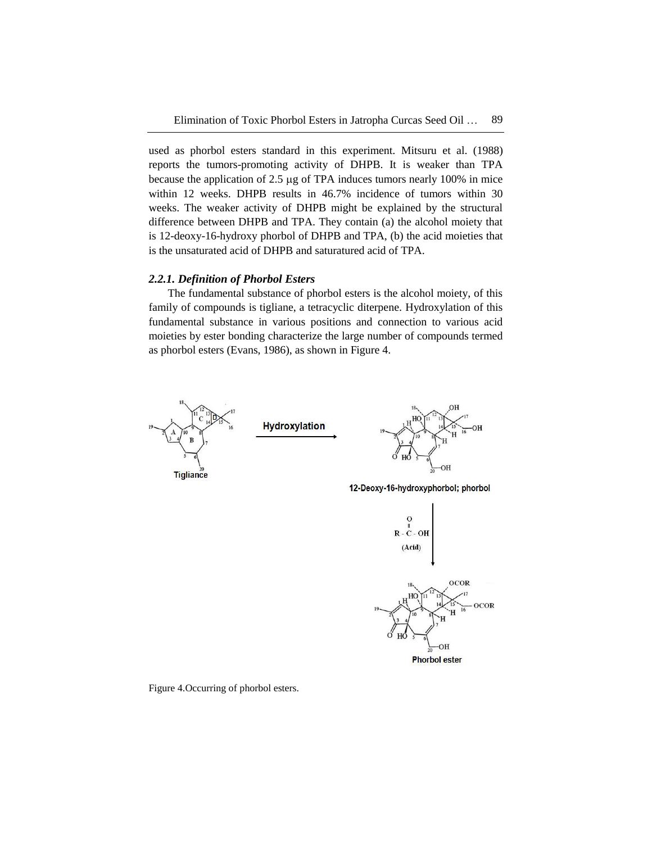used as phorbol esters standard in this experiment. Mitsuru et al. (1988) reports the tumors-promoting activity of DHPB. It is weaker than TPA because the application of  $2.5 \mu$ g of TPA induces tumors nearly 100% in mice within 12 weeks. DHPB results in 46.7% incidence of tumors within 30 weeks. The weaker activity of DHPB might be explained by the structural difference between DHPB and TPA. They contain (a) the alcohol moiety that is 12-deoxy-16-hydroxy phorbol of DHPB and TPA, (b) the acid moieties that is the unsaturated acid of DHPB and saturatured acid of TPA.

### *2.2.1. Definition of Phorbol Esters*

The fundamental substance of phorbol esters is the alcohol moiety, of this family of compounds is tigliane, a tetracyclic diterpene. Hydroxylation of this fundamental substance in various positions and connection to various acid moieties by ester bonding characterize the large number of compounds termed as phorbol esters (Evans, 1986), as shown in Figure 4.



**Phorbol ester** 

Figure 4.Occurring of phorbol esters.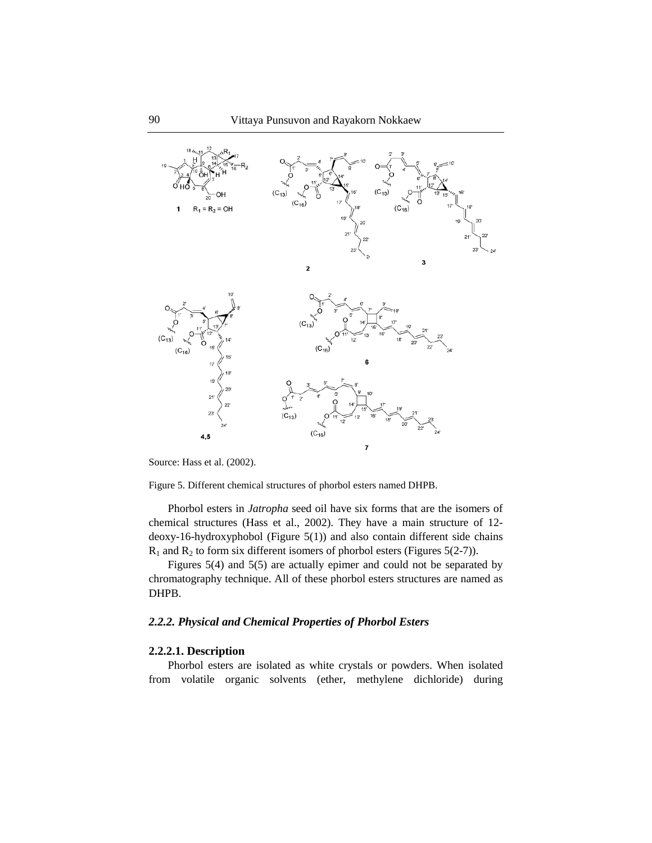

Source: Hass et al. (2002).

Figure 5. Different chemical structures of phorbol esters named DHPB.

Phorbol esters in *Jatropha* seed oil have six forms that are the isomers of chemical structures (Hass et al., 2002). They have a main structure of 12 deoxy-16-hydroxyphobol (Figure 5(1)) and also contain different side chains  $R_1$  and  $R_2$  to form six different isomers of phorbol esters (Figures 5(2-7)).

Figures 5(4) and 5(5) are actually epimer and could not be separated by chromatography technique. All of these phorbol esters structures are named as DHPB.

### *2.2.2. Physical and Chemical Properties of Phorbol Esters*

# **2.2.2.1. Description**

Phorbol esters are isolated as white crystals or powders. When isolated from volatile organic solvents (ether, methylene dichloride) during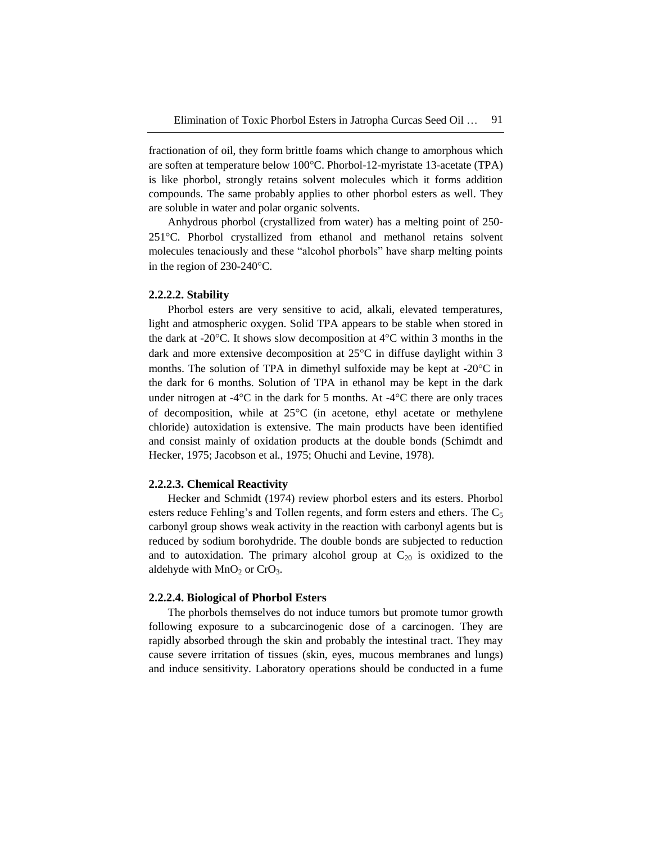fractionation of oil, they form brittle foams which change to amorphous which are soften at temperature below 100°C. Phorbol-12-myristate 13-acetate (TPA) is like phorbol, strongly retains solvent molecules which it forms addition compounds. The same probably applies to other phorbol esters as well. They are soluble in water and polar organic solvents.

Anhydrous phorbol (crystallized from water) has a melting point of 250- 251C. Phorbol crystallized from ethanol and methanol retains solvent molecules tenaciously and these "alcohol phorbols" have sharp melting points in the region of  $230-240^{\circ}$ C.

#### **2.2.2.2. Stability**

Phorbol esters are very sensitive to acid, alkali, elevated temperatures, light and atmospheric oxygen. Solid TPA appears to be stable when stored in the dark at -20 $^{\circ}$ C. It shows slow decomposition at 4 $^{\circ}$ C within 3 months in the dark and more extensive decomposition at  $25^{\circ}$ C in diffuse daylight within 3 months. The solution of TPA in dimethyl sulfoxide may be kept at  $-20^{\circ}$ C in the dark for 6 months. Solution of TPA in ethanol may be kept in the dark under nitrogen at  $-4^{\circ}\text{C}$  in the dark for 5 months. At  $-4^{\circ}\text{C}$  there are only traces of decomposition, while at  $25^{\circ}$ C (in acetone, ethyl acetate or methylene chloride) autoxidation is extensive. The main products have been identified and consist mainly of oxidation products at the double bonds (Schimdt and Hecker, 1975; Jacobson et al., 1975; Ohuchi and Levine, 1978).

#### **2.2.2.3. Chemical Reactivity**

Hecker and Schmidt (1974) review phorbol esters and its esters. Phorbol esters reduce Fehling's and Tollen regents, and form esters and ethers. The  $C_5$ carbonyl group shows weak activity in the reaction with carbonyl agents but is reduced by sodium borohydride. The double bonds are subjected to reduction and to autoxidation. The primary alcohol group at  $C_{20}$  is oxidized to the aldehyde with  $MnO<sub>2</sub>$  or CrO<sub>3</sub>.

#### **2.2.2.4. Biological of Phorbol Esters**

The phorbols themselves do not induce tumors but promote tumor growth following exposure to a subcarcinogenic dose of a carcinogen. They are rapidly absorbed through the skin and probably the intestinal tract. They may cause severe irritation of tissues (skin, eyes, mucous membranes and lungs) and induce sensitivity. Laboratory operations should be conducted in a fume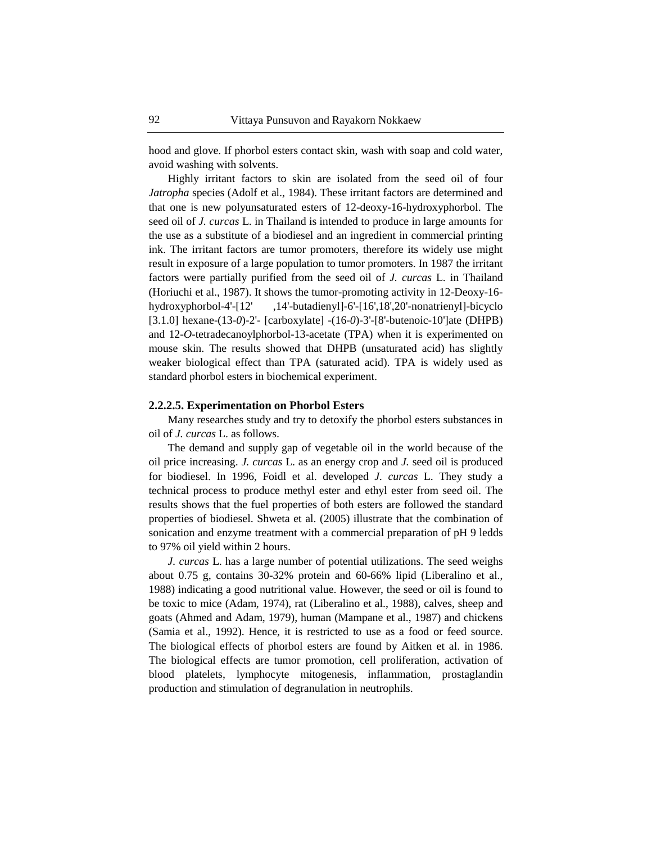hood and glove. If phorbol esters contact skin, wash with soap and cold water, avoid washing with solvents.

Highly irritant factors to skin are isolated from the seed oil of four *Jatropha* species (Adolf et al., 1984). These irritant factors are determined and that one is new polyunsaturated esters of 12-deoxy-16-hydroxyphorbol. The seed oil of *J. curcas* L. in Thailand is intended to produce in large amounts for the use as a substitute of a biodiesel and an ingredient in commercial printing ink. The irritant factors are tumor promoters, therefore its widely use might result in exposure of a large population to tumor promoters. In 1987 the irritant factors were partially purified from the seed oil of *J. curcas* L. in Thailand (Horiuchi et al., 1987). It shows the tumor-promoting activity in 12-Deoxy-16 hydroxyphorbol-4'-[12' ,14'-butadienyl]-6'-[16',18',20'-nonatrienyl]-bicyclo [3.1.0] hexane-(13-*0*)-2'- [carboxylate] -(16-*0*)-3'-[8'-butenoic-10']ate (DHPB) and 12-*O*-tetradecanoylphorbol-13-acetate (TPA) when it is experimented on mouse skin. The results showed that DHPB (unsaturated acid) has slightly weaker biological effect than TPA (saturated acid). TPA is widely used as standard phorbol esters in biochemical experiment.

#### **2.2.2.5. Experimentation on Phorbol Esters**

Many researches study and try to detoxify the phorbol esters substances in oil of *J. curcas* L. as follows.

The demand and supply gap of vegetable oil in the world because of the oil price increasing. *J. curcas* L. as an energy crop and *J.* seed oil is produced for biodiesel. In 1996, Foidl et al. developed *J. curcas* L. They study a technical process to produce methyl ester and ethyl ester from seed oil. The results shows that the fuel properties of both esters are followed the standard properties of biodiesel. Shweta et al. (2005) illustrate that the combination of sonication and enzyme treatment with a commercial preparation of pH 9 ledds to 97% oil yield within 2 hours.

*J. curcas* L. has a large number of potential utilizations. The seed weighs about 0.75 g, contains 30-32% protein and 60-66% lipid (Liberalino et al., 1988) indicating a good nutritional value. However, the seed or oil is found to be toxic to mice (Adam, 1974), rat (Liberalino et al., 1988), calves, sheep and goats (Ahmed and Adam, 1979), human (Mampane et al., 1987) and chickens (Samia et al., 1992). Hence, it is restricted to use as a food or feed source. The biological effects of phorbol esters are found by Aitken et al. in 1986. The biological effects are tumor promotion, cell proliferation, activation of blood platelets, lymphocyte mitogenesis, inflammation, prostaglandin production and stimulation of degranulation in neutrophils.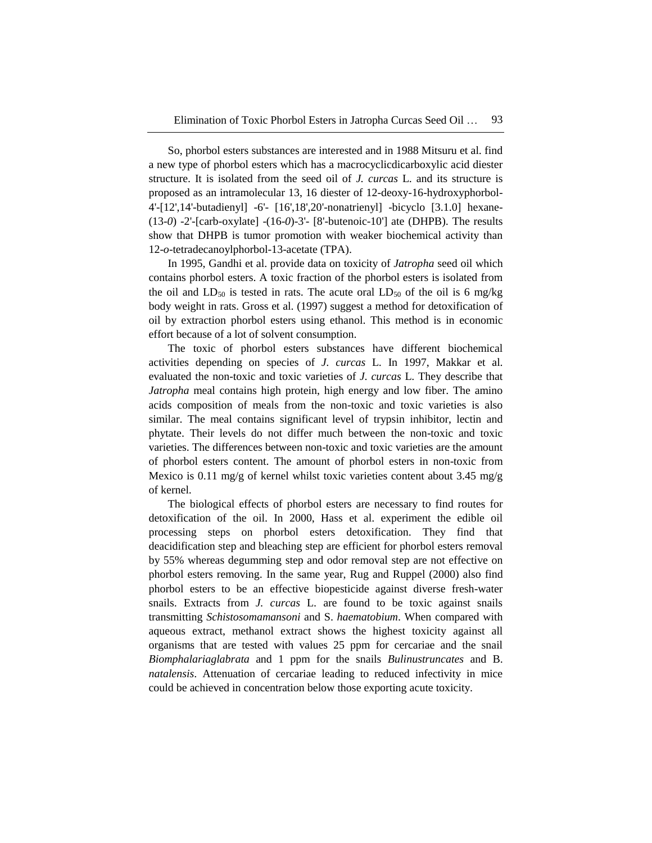So, phorbol esters substances are interested and in 1988 Mitsuru et al. find a new type of phorbol esters which has a macrocyclicdicarboxylic acid diester structure. It is isolated from the seed oil of *J. curcas* L. and its structure is proposed as an intramolecular 13, 16 diester of 12-deoxy-16-hydroxyphorbol-4'-[12',14'-butadienyl] -6'- [16',18',20'-nonatrienyl] -bicyclo [3.1.0] hexane- (13-*0*) -2'-[carb-oxylate] -(16-*0*)-3'- [8'-butenoic-10'] ate (DHPB). The results show that DHPB is tumor promotion with weaker biochemical activity than 12-*o*-tetradecanoylphorbol-13-acetate (TPA).

In 1995, Gandhi et al. provide data on toxicity of *Jatropha* seed oil which contains phorbol esters. A toxic fraction of the phorbol esters is isolated from the oil and  $LD_{50}$  is tested in rats. The acute oral  $LD_{50}$  of the oil is 6 mg/kg body weight in rats. Gross et al. (1997) suggest a method for detoxification of oil by extraction phorbol esters using ethanol. This method is in economic effort because of a lot of solvent consumption.

The toxic of phorbol esters substances have different biochemical activities depending on species of *J. curcas* L. In 1997, Makkar et al. evaluated the non-toxic and toxic varieties of *J. curcas* L. They describe that *Jatropha* meal contains high protein, high energy and low fiber. The amino acids composition of meals from the non-toxic and toxic varieties is also similar. The meal contains significant level of trypsin inhibitor, lectin and phytate. Their levels do not differ much between the non-toxic and toxic varieties. The differences between non-toxic and toxic varieties are the amount of phorbol esters content. The amount of phorbol esters in non-toxic from Mexico is 0.11 mg/g of kernel whilst toxic varieties content about 3.45 mg/g of kernel.

The biological effects of phorbol esters are necessary to find routes for detoxification of the oil. In 2000, Hass et al. experiment the edible oil processing steps on phorbol esters detoxification. They find that deacidification step and bleaching step are efficient for phorbol esters removal by 55% whereas degumming step and odor removal step are not effective on phorbol esters removing. In the same year, Rug and Ruppel (2000) also find phorbol esters to be an effective biopesticide against diverse fresh-water snails. Extracts from *J. curcas* L. are found to be toxic against snails transmitting *Schistosomamansoni* and S. *haematobium*. When compared with aqueous extract, methanol extract shows the highest toxicity against all organisms that are tested with values 25 ppm for cercariae and the snail *Biomphalariaglabrata* and 1 ppm for the snails *Bulinustruncates* and B. *natalensis*. Attenuation of cercariae leading to reduced infectivity in mice could be achieved in concentration below those exporting acute toxicity.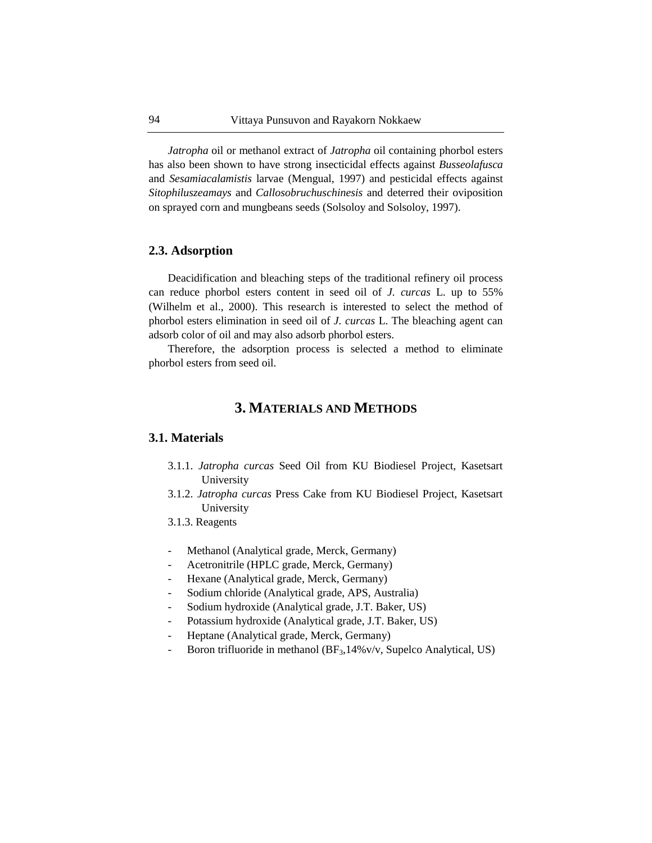*Jatropha* oil or methanol extract of *Jatropha* oil containing phorbol esters has also been shown to have strong insecticidal effects against *Busseolafusca* and *Sesamiacalamistis* larvae (Mengual, 1997) and pesticidal effects against *Sitophiluszeamays* and *Callosobruchuschinesis* and deterred their oviposition on sprayed corn and mungbeans seeds (Solsoloy and Solsoloy, 1997).

### **2.3. Adsorption**

Deacidification and bleaching steps of the traditional refinery oil process can reduce phorbol esters content in seed oil of *J. curcas* L. up to 55% (Wilhelm et al., 2000). This research is interested to select the method of phorbol esters elimination in seed oil of *J. curcas* L. The bleaching agent can adsorb color of oil and may also adsorb phorbol esters.

Therefore, the adsorption process is selected a method to eliminate phorbol esters from seed oil.

# **3. MATERIALS AND METHODS**

### **3.1. Materials**

- 3.1.1. *Jatropha curcas* Seed Oil from KU Biodiesel Project, Kasetsart University
- 3.1.2. *Jatropha curcas* Press Cake from KU Biodiesel Project, Kasetsart University
- 3.1.3. Reagents
- Methanol (Analytical grade, Merck, Germany)
- Acetronitrile (HPLC grade, Merck, Germany)
- Hexane (Analytical grade, Merck, Germany)
- Sodium chloride (Analytical grade, APS, Australia)
- Sodium hydroxide (Analytical grade, J.T. Baker, US)
- Potassium hydroxide (Analytical grade, J.T. Baker, US)
- Heptane (Analytical grade, Merck, Germany)
- Boron trifluoride in methanol ( $BF_3$ , 14%v/v, Supelco Analytical, US)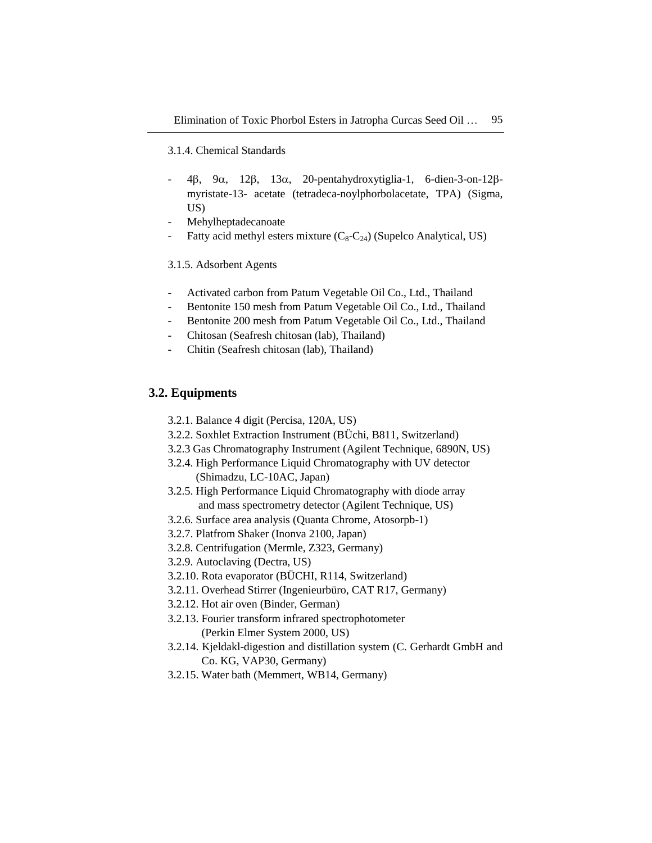### 3.1.4. Chemical Standards

- $4\beta$ ,  $9\alpha$ ,  $12\beta$ ,  $13\alpha$ , 20-pentahydroxytiglia-1, 6-dien-3-on-12 $\beta$ myristate-13- acetate (tetradeca-noylphorbolacetate, TPA) (Sigma, US)
- Mehylheptadecanoate
- Fatty acid methyl esters mixture  $(C_8-C_{24})$  (Supelco Analytical, US)

### 3.1.5. Adsorbent Agents

- Activated carbon from Patum Vegetable Oil Co., Ltd., Thailand
- Bentonite 150 mesh from Patum Vegetable Oil Co., Ltd., Thailand
- Bentonite 200 mesh from Patum Vegetable Oil Co., Ltd., Thailand
- Chitosan (Seafresh chitosan (lab), Thailand)
- Chitin (Seafresh chitosan (lab), Thailand)

# **3.2. Equipments**

- 3.2.1. Balance 4 digit (Percisa, 120A, US)
- 3.2.2. Soxhlet Extraction Instrument (BÜchi, B811, Switzerland)
- 3.2.3 Gas Chromatography Instrument (Agilent Technique, 6890N, US)
- 3.2.4. High Performance Liquid Chromatography with UV detector (Shimadzu, LC-10AC, Japan)
- 3.2.5. High Performance Liquid Chromatography with diode array and mass spectrometry detector (Agilent Technique, US)
- 3.2.6. Surface area analysis (Quanta Chrome, Atosorpb-1)
- 3.2.7. Platfrom Shaker (Inonva 2100, Japan)
- 3.2.8. Centrifugation (Mermle, Z323, Germany)
- 3.2.9. Autoclaving (Dectra, US)
- 3.2.10. Rota evaporator (BÜCHI, R114, Switzerland)
- 3.2.11. Overhead Stirrer (Ingenieurbüro, CAT R17, Germany)
- 3.2.12. Hot air oven (Binder, German)
- 3.2.13. Fourier transform infrared spectrophotometer (Perkin Elmer System 2000, US)
- 3.2.14. Kjeldakl-digestion and distillation system (C. Gerhardt GmbH and Co. KG, VAP30, Germany)
- 3.2.15. Water bath (Memmert, WB14, Germany)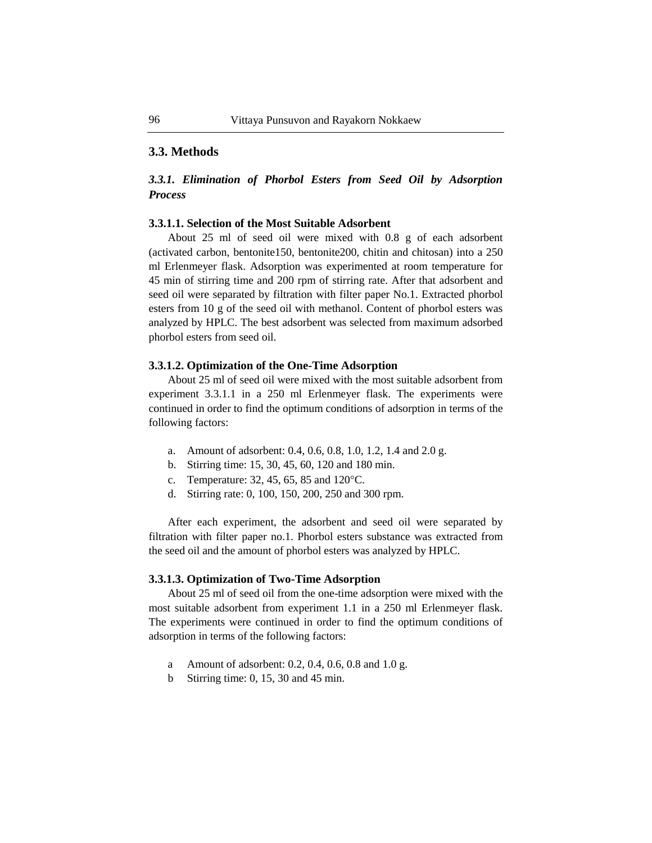# **3.3. Methods**

# *3.3.1. Elimination of Phorbol Esters from Seed Oil by Adsorption Process*

### **3.3.1.1. Selection of the Most Suitable Adsorbent**

About 25 ml of seed oil were mixed with 0.8 g of each adsorbent (activated carbon, bentonite150, bentonite200, chitin and chitosan) into a 250 ml Erlenmeyer flask. Adsorption was experimented at room temperature for 45 min of stirring time and 200 rpm of stirring rate. After that adsorbent and seed oil were separated by filtration with filter paper No.1. Extracted phorbol esters from 10 g of the seed oil with methanol. Content of phorbol esters was analyzed by HPLC. The best adsorbent was selected from maximum adsorbed phorbol esters from seed oil.

### **3.3.1.2. Optimization of the One-Time Adsorption**

About 25 ml of seed oil were mixed with the most suitable adsorbent from experiment 3.3.1.1 in a 250 ml Erlenmeyer flask. The experiments were continued in order to find the optimum conditions of adsorption in terms of the following factors:

- a. Amount of adsorbent: 0.4, 0.6, 0.8, 1.0, 1.2, 1.4 and 2.0 g.
- b. Stirring time: 15, 30, 45, 60, 120 and 180 min.
- c. Temperature: 32, 45, 65, 85 and 120 °C.
- d. Stirring rate: 0, 100, 150, 200, 250 and 300 rpm.

After each experiment, the adsorbent and seed oil were separated by filtration with filter paper no.1. Phorbol esters substance was extracted from the seed oil and the amount of phorbol esters was analyzed by HPLC.

### **3.3.1.3. Optimization of Two-Time Adsorption**

About 25 ml of seed oil from the one-time adsorption were mixed with the most suitable adsorbent from experiment 1.1 in a 250 ml Erlenmeyer flask. The experiments were continued in order to find the optimum conditions of adsorption in terms of the following factors:

- a Amount of adsorbent: 0.2, 0.4, 0.6, 0.8 and 1.0 g.
- b Stirring time: 0, 15, 30 and 45 min.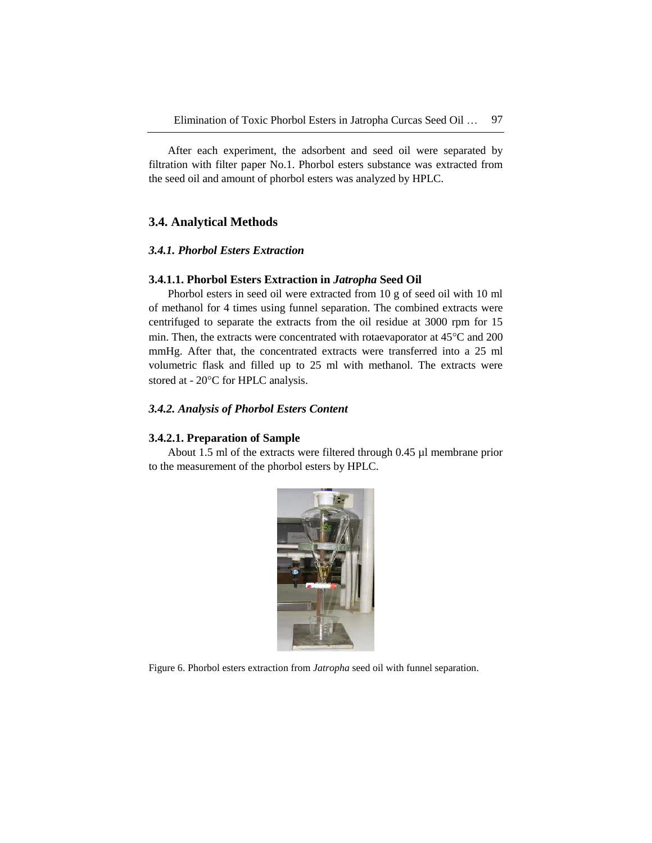After each experiment, the adsorbent and seed oil were separated by filtration with filter paper No.1. Phorbol esters substance was extracted from the seed oil and amount of phorbol esters was analyzed by HPLC.

# **3.4. Analytical Methods**

### *3.4.1. Phorbol Esters Extraction*

### **3.4.1.1. Phorbol Esters Extraction in** *Jatropha* **Seed Oil**

Phorbol esters in seed oil were extracted from 10 g of seed oil with 10 ml of methanol for 4 times using funnel separation. The combined extracts were centrifuged to separate the extracts from the oil residue at 3000 rpm for 15 min. Then, the extracts were concentrated with rotaevaporator at  $45^{\circ}$ C and 200 mmHg. After that, the concentrated extracts were transferred into a 25 ml volumetric flask and filled up to 25 ml with methanol. The extracts were stored at - 20°C for HPLC analysis.

### *3.4.2. Analysis of Phorbol Esters Content*

#### **3.4.2.1. Preparation of Sample**

About 1.5 ml of the extracts were filtered through 0.45 µl membrane prior to the measurement of the phorbol esters by HPLC.



Figure 6. Phorbol esters extraction from *Jatropha* seed oil with funnel separation.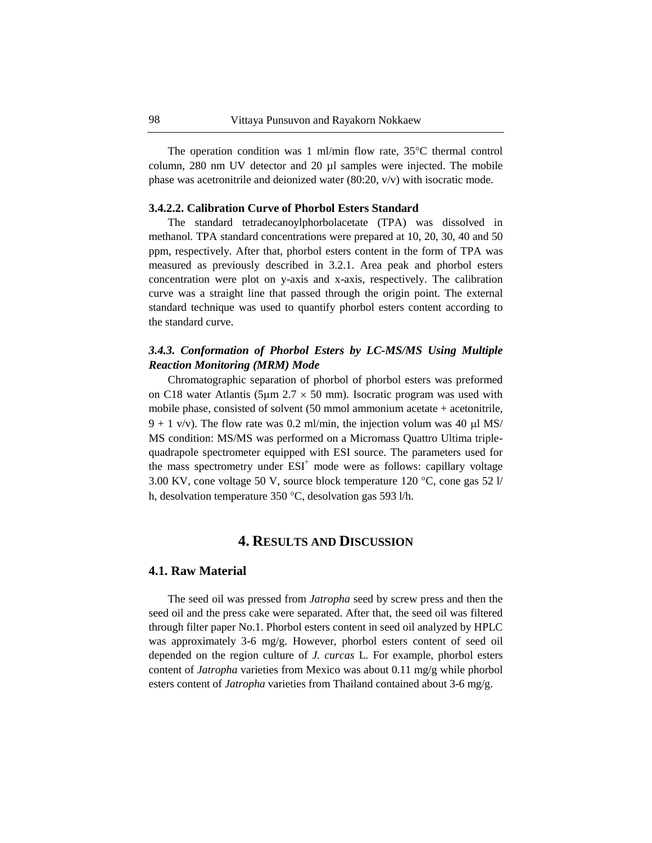The operation condition was 1 ml/min flow rate,  $35^{\circ}$ C thermal control column, 280 nm UV detector and 20 µl samples were injected. The mobile phase was acetronitrile and deionized water (80:20, v/v) with isocratic mode.

### **3.4.2.2. Calibration Curve of Phorbol Esters Standard**

The standard tetradecanoylphorbolacetate (TPA) was dissolved in methanol. TPA standard concentrations were prepared at 10, 20, 30, 40 and 50 ppm, respectively. After that, phorbol esters content in the form of TPA was measured as previously described in 3.2.1. Area peak and phorbol esters concentration were plot on y-axis and x-axis, respectively. The calibration curve was a straight line that passed through the origin point. The external standard technique was used to quantify phorbol esters content according to the standard curve.

# *3.4.3. Conformation of Phorbol Esters by LC-MS/MS Using Multiple Reaction Monitoring (MRM) Mode*

Chromatographic separation of phorbol of phorbol esters was preformed on C18 water Atlantis (5 $\mu$ m 2.7  $\times$  50 mm). Isocratic program was used with mobile phase, consisted of solvent (50 mmol ammonium acetate + acetonitrile,  $9 + 1$  v/v). The flow rate was 0.2 ml/min, the injection volum was 40 µl MS/ MS condition: MS/MS was performed on a Micromass Quattro Ultima triplequadrapole spectrometer equipped with ESI source. The parameters used for the mass spectrometry under  $ESI<sup>+</sup>$  mode were as follows: capillary voltage 3.00 KV, cone voltage 50 V, source block temperature 120  $\degree$ C, cone gas 52 l/ h, desolvation temperature 350 °C, desolvation gas 593 l/h.

# **4. RESULTS AND DISCUSSION**

#### **4.1. Raw Material**

The seed oil was pressed from *Jatropha* seed by screw press and then the seed oil and the press cake were separated. After that, the seed oil was filtered through filter paper No.1. Phorbol esters content in seed oil analyzed by HPLC was approximately 3-6 mg/g. However, phorbol esters content of seed oil depended on the region culture of *J. curcas* L. For example, phorbol esters content of *Jatropha* varieties from Mexico was about 0.11 mg/g while phorbol esters content of *Jatropha* varieties from Thailand contained about 3-6 mg/g.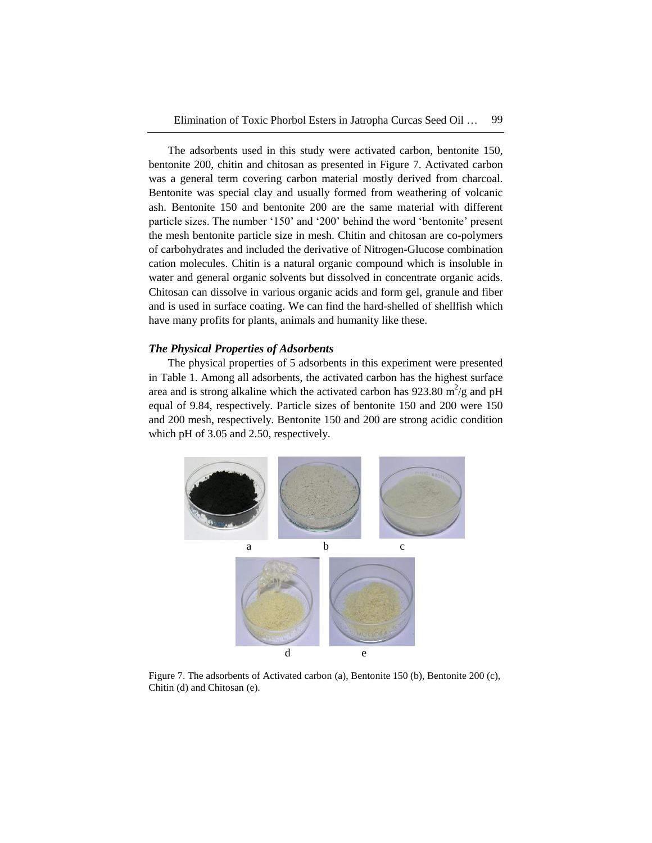The adsorbents used in this study were activated carbon, bentonite 150, bentonite 200, chitin and chitosan as presented in Figure 7. Activated carbon was a general term covering carbon material mostly derived from charcoal. Bentonite was special clay and usually formed from weathering of volcanic ash. Bentonite 150 and bentonite 200 are the same material with different particle sizes. The number '150' and '200' behind the word 'bentonite' present the mesh bentonite particle size in mesh. Chitin and chitosan are co-polymers of carbohydrates and included the derivative of Nitrogen-Glucose combination cation molecules. Chitin is a natural organic compound which is insoluble in water and general organic solvents but dissolved in concentrate organic acids. Chitosan can dissolve in various organic acids and form gel, granule and fiber and is used in surface coating. We can find the hard-shelled of shellfish which have many profits for plants, animals and humanity like these.

### *The Physical Properties of Adsorbents*

The physical properties of 5 adsorbents in this experiment were presented in Table 1. Among all adsorbents, the activated carbon has the highest surface area and is strong alkaline which the activated carbon has  $923.80 \text{ m}^2/\text{g}$  and pH equal of 9.84, respectively. Particle sizes of bentonite 150 and 200 were 150 and 200 mesh, respectively. Bentonite 150 and 200 are strong acidic condition which pH of 3.05 and 2.50, respectively.



Figure 7. The adsorbents of Activated carbon (a), Bentonite 150 (b), Bentonite 200 (c), Chitin (d) and Chitosan (e).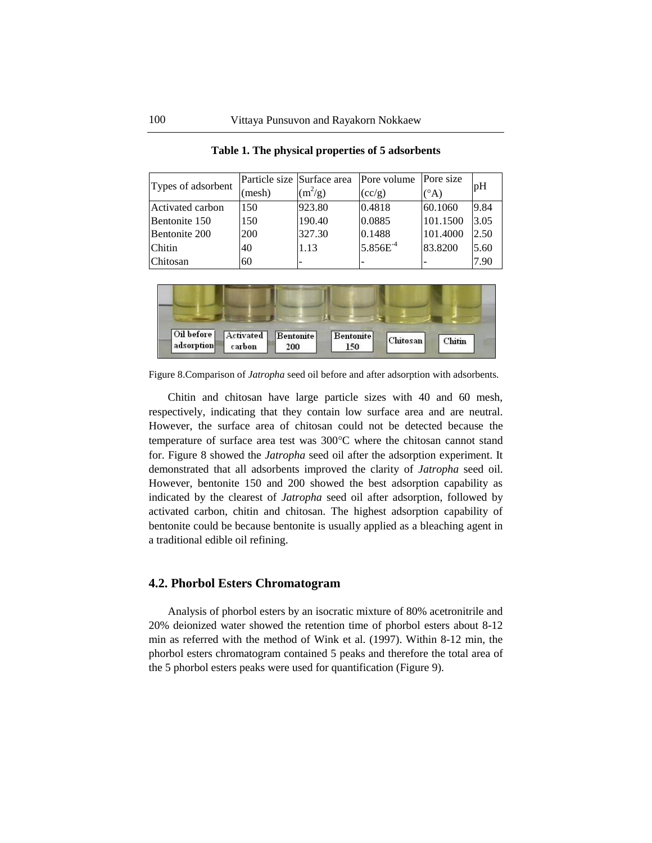| Types of adsorbent |       | Particle size Surface area | Pore volume          | Pore size                | pH   |  |
|--------------------|-------|----------------------------|----------------------|--------------------------|------|--|
|                    | mesh) | $(m^2/g)$                  | (cc/g)               | (°A)                     |      |  |
| Activated carbon   | 150   | 923.80                     | 0.4818               | 60.1060                  | 9.84 |  |
| Bentonite 150      | 150   | 190.40                     | 0.0885               | 101.1500                 | 3.05 |  |
| Bentonite 200      | 200   | 327.30                     | 0.1488               | 101.4000                 | 2.50 |  |
| <b>Chitin</b>      | 40    | 1.13                       | 5.856E <sup>-4</sup> | 83.8200                  | 5.60 |  |
| <b>Chitosan</b>    | 60    | -                          |                      | $\overline{\phantom{0}}$ | 7.90 |  |

**Table 1. The physical properties of 5 adsorbents**



Figure 8.Comparison of *Jatropha* seed oil before and after adsorption with adsorbents.

Chitin and chitosan have large particle sizes with 40 and 60 mesh, respectively, indicating that they contain low surface area and are neutral. However, the surface area of chitosan could not be detected because the temperature of surface area test was  $300^{\circ}$ C where the chitosan cannot stand for. Figure 8 showed the *Jatropha* seed oil after the adsorption experiment. It demonstrated that all adsorbents improved the clarity of *Jatropha* seed oil. However, bentonite 150 and 200 showed the best adsorption capability as indicated by the clearest of *Jatropha* seed oil after adsorption, followed by activated carbon, chitin and chitosan. The highest adsorption capability of bentonite could be because bentonite is usually applied as a bleaching agent in a traditional edible oil refining.

### **4.2. Phorbol Esters Chromatogram**

Analysis of phorbol esters by an isocratic mixture of 80% acetronitrile and 20% deionized water showed the retention time of phorbol esters about 8-12 min as referred with the method of Wink et al. (1997). Within 8-12 min, the phorbol esters chromatogram contained 5 peaks and therefore the total area of the 5 phorbol esters peaks were used for quantification (Figure 9).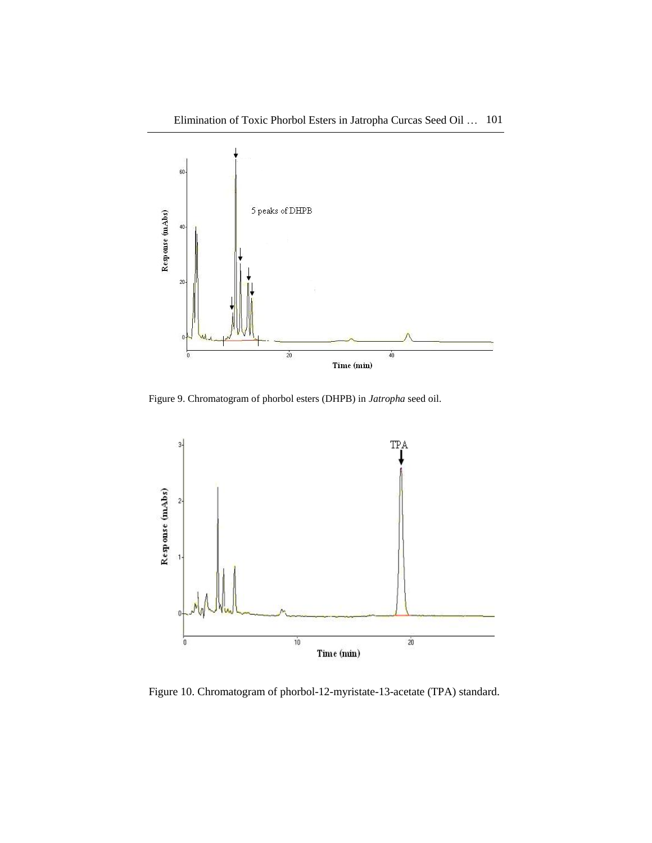

Figure 9. Chromatogram of phorbol esters (DHPB) in *Jatropha* seed oil.



Figure 10. Chromatogram of phorbol-12-myristate-13-acetate (TPA) standard.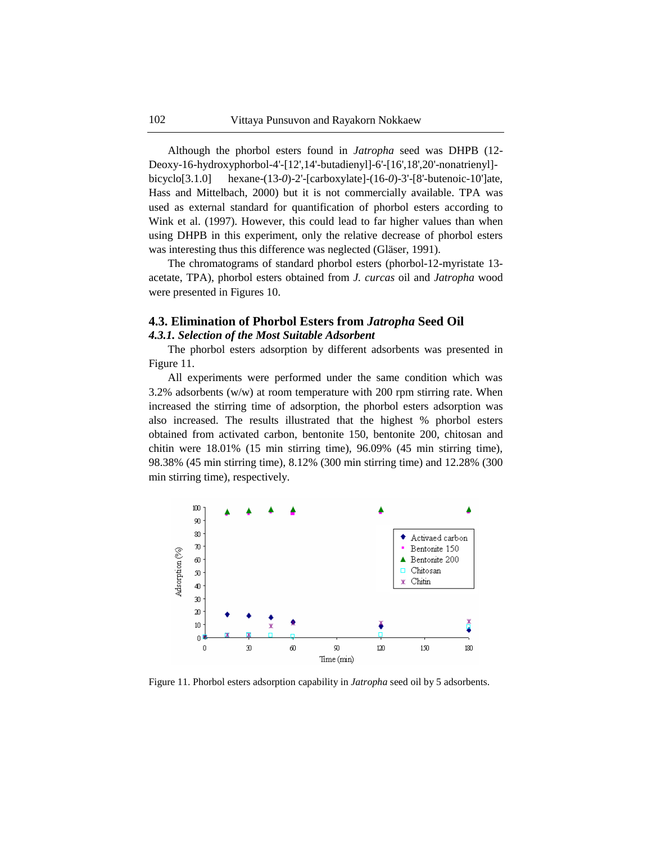Although the phorbol esters found in *Jatropha* seed was DHPB (12- Deoxy-16-hydroxyphorbol-4'-[12',14'-butadienyl]-6'-[16',18',20'-nonatrienyl] bicyclo[3.1.0] hexane-(13-*0*)-2'-[carboxylate]-(16-*0*)-3'-[8'-butenoic-10']ate, Hass and Mittelbach, 2000) but it is not commercially available. TPA was used as external standard for quantification of phorbol esters according to Wink et al. (1997). However, this could lead to far higher values than when using DHPB in this experiment, only the relative decrease of phorbol esters was interesting thus this difference was neglected (Gläser, 1991).

The chromatograms of standard phorbol esters (phorbol-12-myristate 13 acetate, TPA), phorbol esters obtained from *J. curcas* oil and *Jatropha* wood were presented in Figures 10.

## **4.3. Elimination of Phorbol Esters from** *Jatropha* **Seed Oil** *4.3.1. Selection of the Most Suitable Adsorbent*

The phorbol esters adsorption by different adsorbents was presented in Figure 11.

All experiments were performed under the same condition which was 3.2% adsorbents (w/w) at room temperature with 200 rpm stirring rate. When increased the stirring time of adsorption, the phorbol esters adsorption was also increased. The results illustrated that the highest % phorbol esters obtained from activated carbon, bentonite 150, bentonite 200, chitosan and chitin were 18.01% (15 min stirring time), 96.09% (45 min stirring time), 98.38% (45 min stirring time), 8.12% (300 min stirring time) and 12.28% (300 min stirring time), respectively.



Figure 11. Phorbol esters adsorption capability in *Jatropha* seed oil by 5 adsorbents.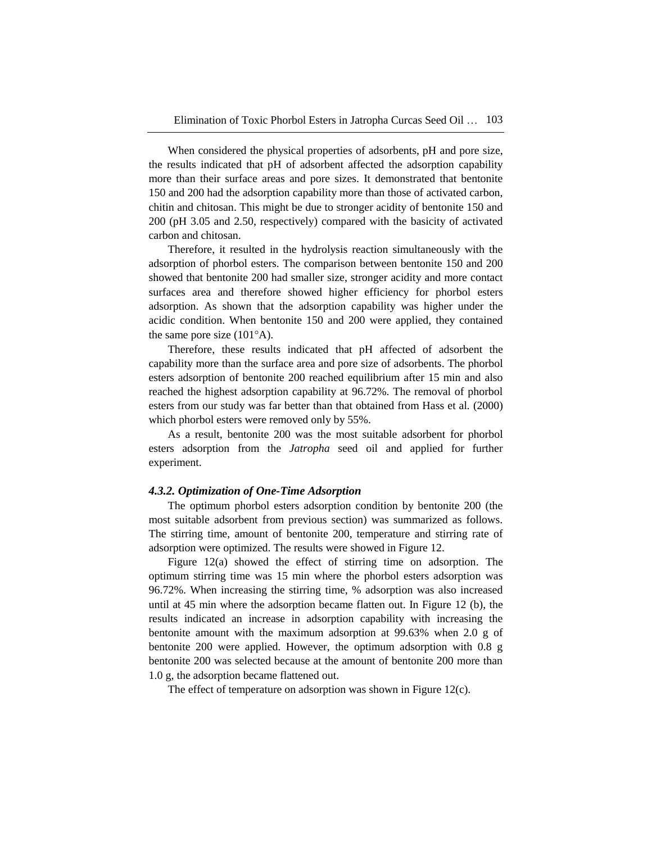When considered the physical properties of adsorbents, pH and pore size, the results indicated that pH of adsorbent affected the adsorption capability more than their surface areas and pore sizes. It demonstrated that bentonite 150 and 200 had the adsorption capability more than those of activated carbon, chitin and chitosan. This might be due to stronger acidity of bentonite 150 and 200 (pH 3.05 and 2.50, respectively) compared with the basicity of activated carbon and chitosan.

Therefore, it resulted in the hydrolysis reaction simultaneously with the adsorption of phorbol esters. The comparison between bentonite 150 and 200 showed that bentonite 200 had smaller size, stronger acidity and more contact surfaces area and therefore showed higher efficiency for phorbol esters adsorption. As shown that the adsorption capability was higher under the acidic condition. When bentonite 150 and 200 were applied, they contained the same pore size  $(101^{\circ}A)$ .

Therefore, these results indicated that pH affected of adsorbent the capability more than the surface area and pore size of adsorbents. The phorbol esters adsorption of bentonite 200 reached equilibrium after 15 min and also reached the highest adsorption capability at 96.72%. The removal of phorbol esters from our study was far better than that obtained from Hass et al*.* (2000) which phorbol esters were removed only by 55%.

As a result, bentonite 200 was the most suitable adsorbent for phorbol esters adsorption from the *Jatropha* seed oil and applied for further experiment.

### *4.3.2. Optimization of One-Time Adsorption*

The optimum phorbol esters adsorption condition by bentonite 200 (the most suitable adsorbent from previous section) was summarized as follows. The stirring time, amount of bentonite 200, temperature and stirring rate of adsorption were optimized. The results were showed in Figure 12.

Figure 12(a) showed the effect of stirring time on adsorption. The optimum stirring time was 15 min where the phorbol esters adsorption was 96.72%. When increasing the stirring time, % adsorption was also increased until at 45 min where the adsorption became flatten out. In Figure 12 (b), the results indicated an increase in adsorption capability with increasing the bentonite amount with the maximum adsorption at 99.63% when 2.0 g of bentonite 200 were applied. However, the optimum adsorption with 0.8 g bentonite 200 was selected because at the amount of bentonite 200 more than 1.0 g, the adsorption became flattened out.

The effect of temperature on adsorption was shown in Figure 12(c).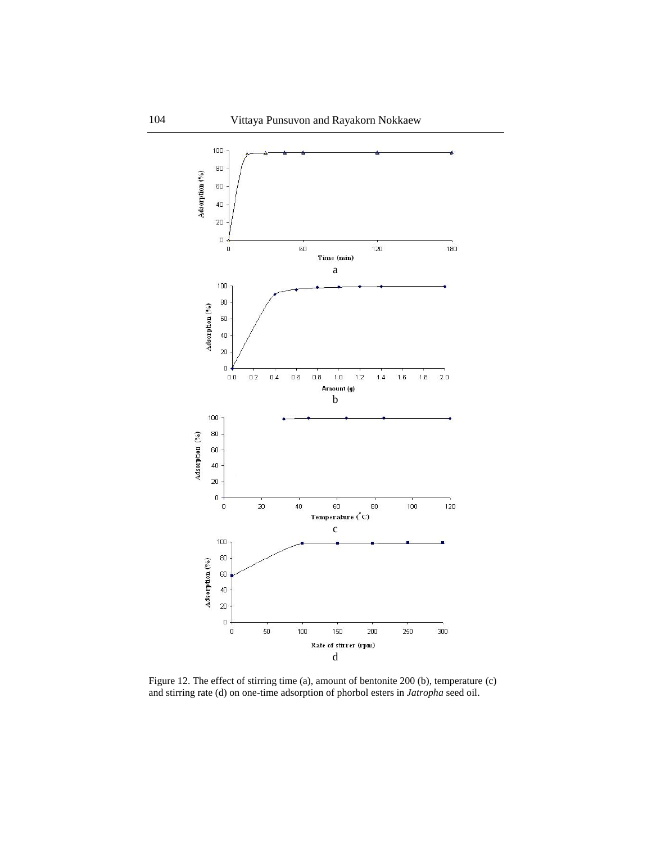

Figure 12. The effect of stirring time (a), amount of bentonite 200 (b), temperature (c) and stirring rate (d) on one-time adsorption of phorbol esters in *Jatropha* seed oil.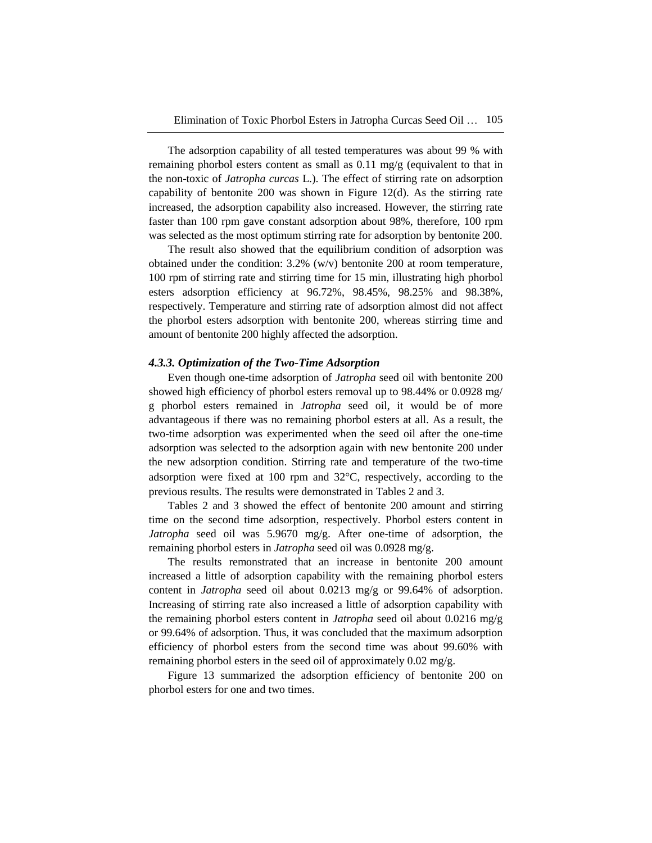The adsorption capability of all tested temperatures was about 99 % with remaining phorbol esters content as small as 0.11 mg/g (equivalent to that in the non-toxic of *Jatropha curcas* L.). The effect of stirring rate on adsorption capability of bentonite 200 was shown in Figure 12(d). As the stirring rate increased, the adsorption capability also increased. However, the stirring rate faster than 100 rpm gave constant adsorption about 98%, therefore, 100 rpm was selected as the most optimum stirring rate for adsorption by bentonite 200.

The result also showed that the equilibrium condition of adsorption was obtained under the condition: 3.2% (w/v) bentonite 200 at room temperature, 100 rpm of stirring rate and stirring time for 15 min, illustrating high phorbol esters adsorption efficiency at 96.72%, 98.45%, 98.25% and 98.38%, respectively. Temperature and stirring rate of adsorption almost did not affect the phorbol esters adsorption with bentonite 200, whereas stirring time and amount of bentonite 200 highly affected the adsorption.

#### *4.3.3. Optimization of the Two-Time Adsorption*

Even though one-time adsorption of *Jatropha* seed oil with bentonite 200 showed high efficiency of phorbol esters removal up to 98.44% or 0.0928 mg/ g phorbol esters remained in *Jatropha* seed oil, it would be of more advantageous if there was no remaining phorbol esters at all. As a result, the two-time adsorption was experimented when the seed oil after the one-time adsorption was selected to the adsorption again with new bentonite 200 under the new adsorption condition. Stirring rate and temperature of the two-time adsorption were fixed at 100 rpm and  $32^{\circ}$ C, respectively, according to the previous results. The results were demonstrated in Tables 2 and 3.

Tables 2 and 3 showed the effect of bentonite 200 amount and stirring time on the second time adsorption, respectively. Phorbol esters content in *Jatropha* seed oil was 5.9670 mg/g. After one-time of adsorption, the remaining phorbol esters in *Jatropha* seed oil was 0.0928 mg/g.

The results remonstrated that an increase in bentonite 200 amount increased a little of adsorption capability with the remaining phorbol esters content in *Jatropha* seed oil about 0.0213 mg/g or 99.64% of adsorption. Increasing of stirring rate also increased a little of adsorption capability with the remaining phorbol esters content in *Jatropha* seed oil about 0.0216 mg/g or 99.64% of adsorption. Thus, it was concluded that the maximum adsorption efficiency of phorbol esters from the second time was about 99.60% with remaining phorbol esters in the seed oil of approximately 0.02 mg/g.

Figure 13 summarized the adsorption efficiency of bentonite 200 on phorbol esters for one and two times.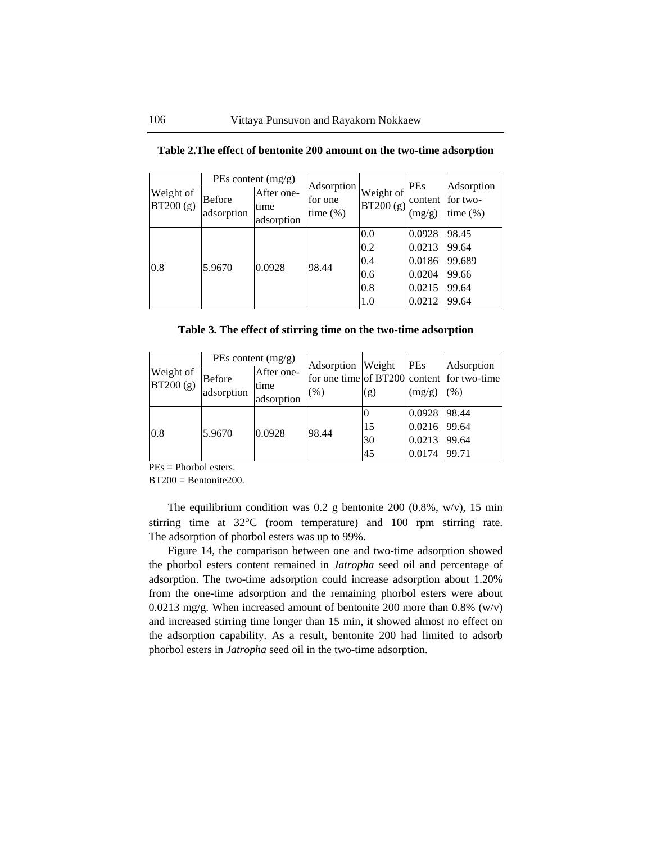| Weight of<br>BT200 (g) |                             | PEs content (mg/g)               | Adsorption<br>for one<br>time $(\%)$ | Weight of<br>BT200 (g)                 | <b>PEs</b><br>content<br>(mg/g)                          | Adsorption<br>for two-<br>time $(\%)$               |
|------------------------|-----------------------------|----------------------------------|--------------------------------------|----------------------------------------|----------------------------------------------------------|-----------------------------------------------------|
|                        | <b>Before</b><br>adsorption | After one-<br>time<br>adsorption |                                      |                                        |                                                          |                                                     |
| 0.8                    | 5.9670                      | 0.0928                           | 98.44                                | 0.0<br>0.2<br>0.4<br>0.6<br>0.8<br>1.0 | 0.0928<br>0.0213<br>0.0186<br>0.0204<br>0.0215<br>0.0212 | 98.45<br>99.64<br>99.689<br>99.66<br>99.64<br>99.64 |

**Table 2.The effect of bentonite 200 amount on the two-time adsorption**

| Table 3. The effect of stirring time on the two-time adsorption |  |  |  |  |  |  |
|-----------------------------------------------------------------|--|--|--|--|--|--|
|                                                                 |  |  |  |  |  |  |

| Weight of<br>BT200(g) |                             | PEs content $(mg/g)$             | Adsorption Weight<br>(% ) |                | <b>PEs</b>                           | Adsorption                                         |
|-----------------------|-----------------------------|----------------------------------|---------------------------|----------------|--------------------------------------|----------------------------------------------------|
|                       | <b>Before</b><br>adsorption | After one-<br>time<br>adsorption |                           | (g)            | (mg/g)                               | for one time of BT200 content for two-time<br>(% ) |
| 0.8                   | 5.9670                      | 0.0928                           | 98.44                     | 15<br>30<br>45 | 0.0928<br>0.0216<br>0.0213<br>0.0174 | 98.44<br>99.64<br>99.64<br>99.71                   |

PEs = Phorbol esters.

 $BT200 = B$ entonite $200$ .

The equilibrium condition was  $0.2$  g bentonite  $200$   $(0.8\%$ , w/v), 15 min stirring time at 32°C (room temperature) and 100 rpm stirring rate. The adsorption of phorbol esters was up to 99%.

Figure 14, the comparison between one and two-time adsorption showed the phorbol esters content remained in *Jatropha* seed oil and percentage of adsorption. The two-time adsorption could increase adsorption about 1.20% from the one-time adsorption and the remaining phorbol esters were about 0.0213 mg/g. When increased amount of bentonite 200 more than  $0.8\%$  (w/v) and increased stirring time longer than 15 min, it showed almost no effect on the adsorption capability. As a result, bentonite 200 had limited to adsorb phorbol esters in *Jatropha* seed oil in the two-time adsorption.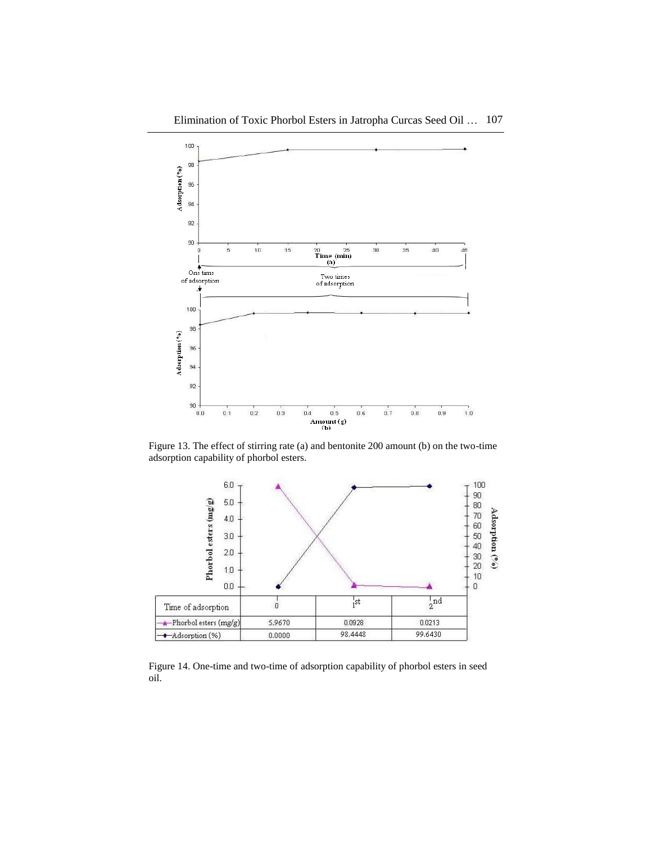

Figure 13. The effect of stirring rate (a) and bentonite 200 amount (b) on the two-time adsorption capability of phorbol esters.



Figure 14. One-time and two-time of adsorption capability of phorbol esters in seed oil.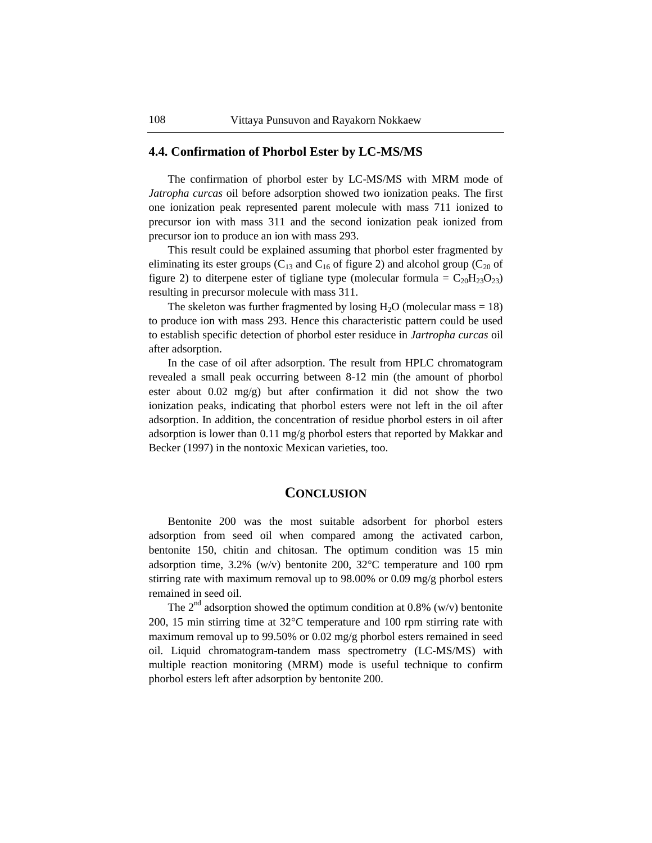# **4.4. Confirmation of Phorbol Ester by LC-MS/MS**

The confirmation of phorbol ester by LC-MS/MS with MRM mode of *Jatropha curcas* oil before adsorption showed two ionization peaks. The first one ionization peak represented parent molecule with mass 711 ionized to precursor ion with mass 311 and the second ionization peak ionized from precursor ion to produce an ion with mass 293.

This result could be explained assuming that phorbol ester fragmented by eliminating its ester groups ( $C_{13}$  and  $C_{16}$  of figure 2) and alcohol group ( $C_{20}$  of figure 2) to diterpene ester of tigliane type (molecular formula =  $C_{20}H_{23}O_{23}$ ) resulting in precursor molecule with mass 311.

The skeleton was further fragmented by losing  $H_2O$  (molecular mass = 18) to produce ion with mass 293. Hence this characteristic pattern could be used to establish specific detection of phorbol ester residuce in *Jartropha curcas* oil after adsorption.

In the case of oil after adsorption. The result from HPLC chromatogram revealed a small peak occurring between 8-12 min (the amount of phorbol ester about 0.02 mg/g) but after confirmation it did not show the two ionization peaks, indicating that phorbol esters were not left in the oil after adsorption. In addition, the concentration of residue phorbol esters in oil after adsorption is lower than 0.11 mg/g phorbol esters that reported by Makkar and Becker (1997) in the nontoxic Mexican varieties, too.

### **CONCLUSION**

Bentonite 200 was the most suitable adsorbent for phorbol esters adsorption from seed oil when compared among the activated carbon, bentonite 150, chitin and chitosan. The optimum condition was 15 min adsorption time,  $3.2\%$  (w/v) bentonite 200,  $32\degree$ C temperature and 100 rpm stirring rate with maximum removal up to 98.00% or 0.09 mg/g phorbol esters remained in seed oil.

The  $2<sup>nd</sup>$  adsorption showed the optimum condition at 0.8% (w/v) bentonite 200, 15 min stirring time at  $32^{\circ}$ C temperature and 100 rpm stirring rate with maximum removal up to 99.50% or 0.02 mg/g phorbol esters remained in seed oil. Liquid chromatogram-tandem mass spectrometry (LC-MS/MS) with multiple reaction monitoring (MRM) mode is useful technique to confirm phorbol esters left after adsorption by bentonite 200.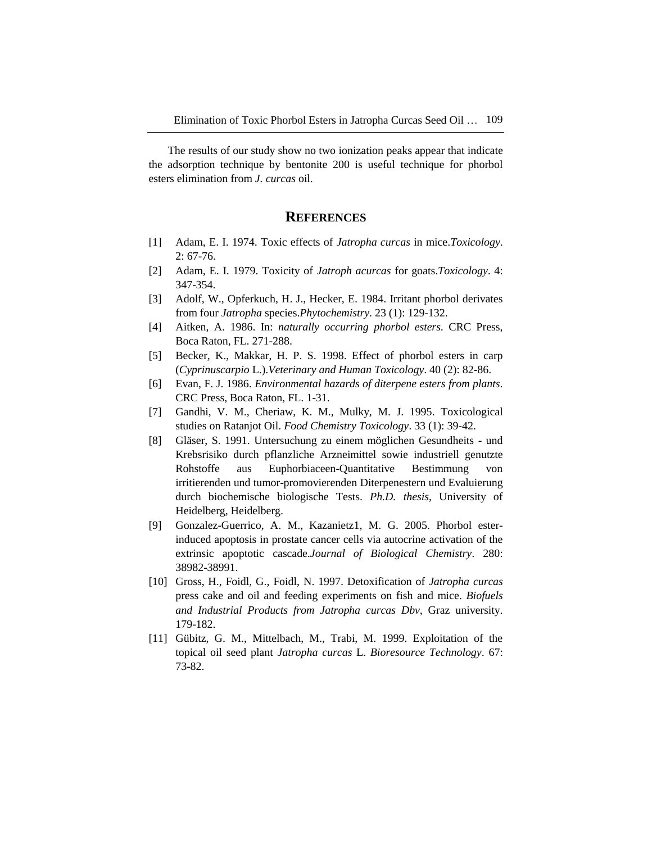The results of our study show no two ionization peaks appear that indicate the adsorption technique by bentonite 200 is useful technique for phorbol esters elimination from *J. curcas* oil.

# **REFERENCES**

- [1] Adam, E. I. 1974. Toxic effects of *Jatropha curcas* in mice.*Toxicology*. 2: 67-76.
- [2] Adam, E. I. 1979. Toxicity of *Jatroph acurcas* for goats.*Toxicology*. 4: 347-354.
- [3] Adolf, W., Opferkuch, H. J., Hecker, E. 1984. Irritant phorbol derivates from four *Jatropha* species.*Phytochemistry*. 23 (1): 129-132.
- [4] Aitken, A. 1986. In: *naturally occurring phorbol esters*. CRC Press, Boca Raton, FL. 271-288.
- [5] Becker, K., Makkar, H. P. S. 1998. Effect of phorbol esters in carp (*Cyprinuscarpio* L.).*Veterinary and Human Toxicology*. 40 (2): 82-86.
- [6] Evan, F. J. 1986. *Environmental hazards of diterpene esters from plants*. CRC Press, Boca Raton, FL. 1-31.
- [7] Gandhi, V. M., Cheriaw, K. M., Mulky, M. J. 1995. Toxicological studies on Ratanjot Oil. *Food Chemistry Toxicology*. 33 (1): 39-42.
- [8] Gläser, S. 1991. Untersuchung zu einem möglichen Gesundheits und Krebsrisiko durch pflanzliche Arzneimittel sowie industriell genutzte Rohstoffe aus Euphorbiaceen-Quantitative Bestimmung von irritierenden und tumor-promovierenden Diterpenestern und Evaluierung durch biochemische biologische Tests. *Ph.D. thesis*, University of Heidelberg, Heidelberg.
- [9] Gonzalez-Guerrico, A. M., Kazanietz1, M. G. 2005. Phorbol esterinduced apoptosis in prostate cancer cells via autocrine activation of the extrinsic apoptotic cascade.*Journal of Biological Chemistry*. 280: 38982-38991.
- [10] Gross, H., Foidl, G., Foidl, N. 1997. Detoxification of *Jatropha curcas* press cake and oil and feeding experiments on fish and mice. *Biofuels and Industrial Products from Jatropha curcas Dbv*, Graz university. 179-182.
- [11] Gübitz, G. M., Mittelbach, M., Trabi, M. 1999. Exploitation of the topical oil seed plant *Jatropha curcas* L. *Bioresource Technology*. 67: 73-82.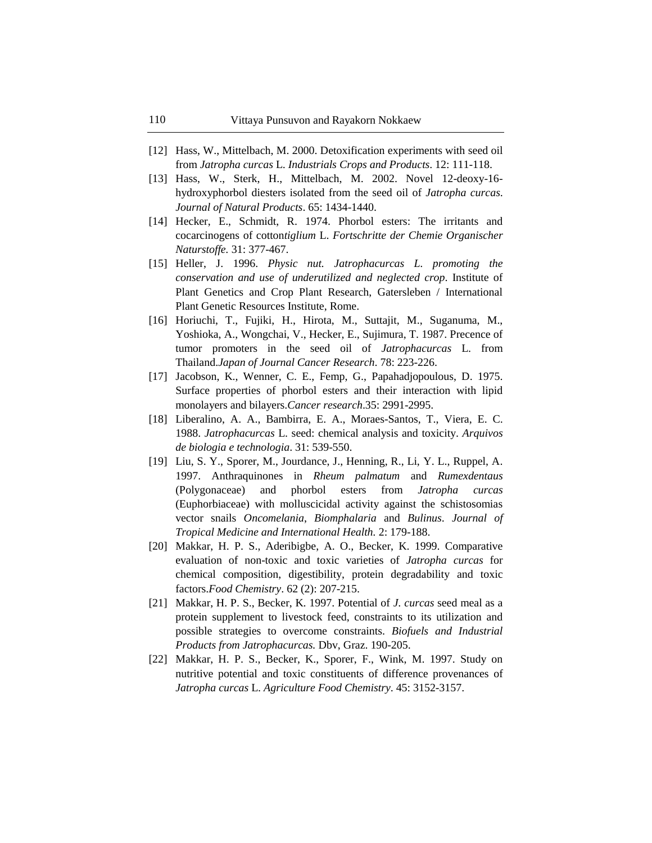- [12] Hass, W., Mittelbach, M. 2000. Detoxification experiments with seed oil from *Jatropha curcas* L. *Industrials Crops and Products*. 12: 111-118.
- [13] Hass, W., Sterk, H., Mittelbach, M. 2002. Novel 12-deoxy-16 hydroxyphorbol diesters isolated from the seed oil of *Jatropha curcas*. *Journal of Natural Products*. 65: 1434-1440.
- [14] Hecker, E., Schmidt, R. 1974. Phorbol esters: The irritants and cocarcinogens of cotton*tiglium* L. *Fortschritte der Chemie Organischer Naturstoffe.* 31: 377-467.
- [15] Heller, J. 1996. *Physic nut. Jatrophacurcas L. promoting the conservation and use of underutilized and neglected crop*. Institute of Plant Genetics and Crop Plant Research, Gatersleben / International Plant Genetic Resources Institute, Rome.
- [16] Horiuchi, T., Fujiki, H., Hirota, M., Suttajit, M., Suganuma, M., Yoshioka, A., Wongchai, V., Hecker, E., Sujimura, T. 1987. Precence of tumor promoters in the seed oil of *Jatrophacurcas* L. from Thailand.*Japan of Journal Cancer Research*. 78: 223-226.
- [17] Jacobson, K., Wenner, C. E., Femp, G., Papahadjopoulous, D. 1975. Surface properties of phorbol esters and their interaction with lipid monolayers and bilayers.*Cancer research*.35: 2991-2995.
- [18] Liberalino, A. A., Bambirra, E. A., Moraes-Santos, T., Viera, E. C. 1988. *Jatrophacurcas* L. seed: chemical analysis and toxicity. *Arquivos de biologia e technologia*. 31: 539-550.
- [19] Liu, S. Y., Sporer, M., Jourdance, J., Henning, R., Li, Y. L., Ruppel, A. 1997. Anthraquinones in *Rheum palmatum* and *Rumexdentaus* (Polygonaceae) and phorbol esters from *Jatropha curcas* (Euphorbiaceae) with molluscicidal activity against the schistosomias vector snails *Oncomelania*, *Biomphalaria* and *Bulinus*. *Journal of Tropical Medicine and International Health.* 2: 179-188.
- [20] Makkar, H. P. S., Aderibigbe, A. O., Becker, K. 1999. Comparative evaluation of non-toxic and toxic varieties of *Jatropha curcas* for chemical composition, digestibility, protein degradability and toxic factors.*Food Chemistry*. 62 (2): 207-215.
- [21] Makkar, H. P. S., Becker, K. 1997. Potential of *J. curcas* seed meal as a protein supplement to livestock feed, constraints to its utilization and possible strategies to overcome constraints. *Biofuels and Industrial Products from Jatrophacurcas.* Dbv, Graz. 190-205.
- [22] Makkar, H. P. S., Becker, K., Sporer, F., Wink, M. 1997. Study on nutritive potential and toxic constituents of difference provenances of *Jatropha curcas* L. *Agriculture Food Chemistry*. 45: 3152-3157.